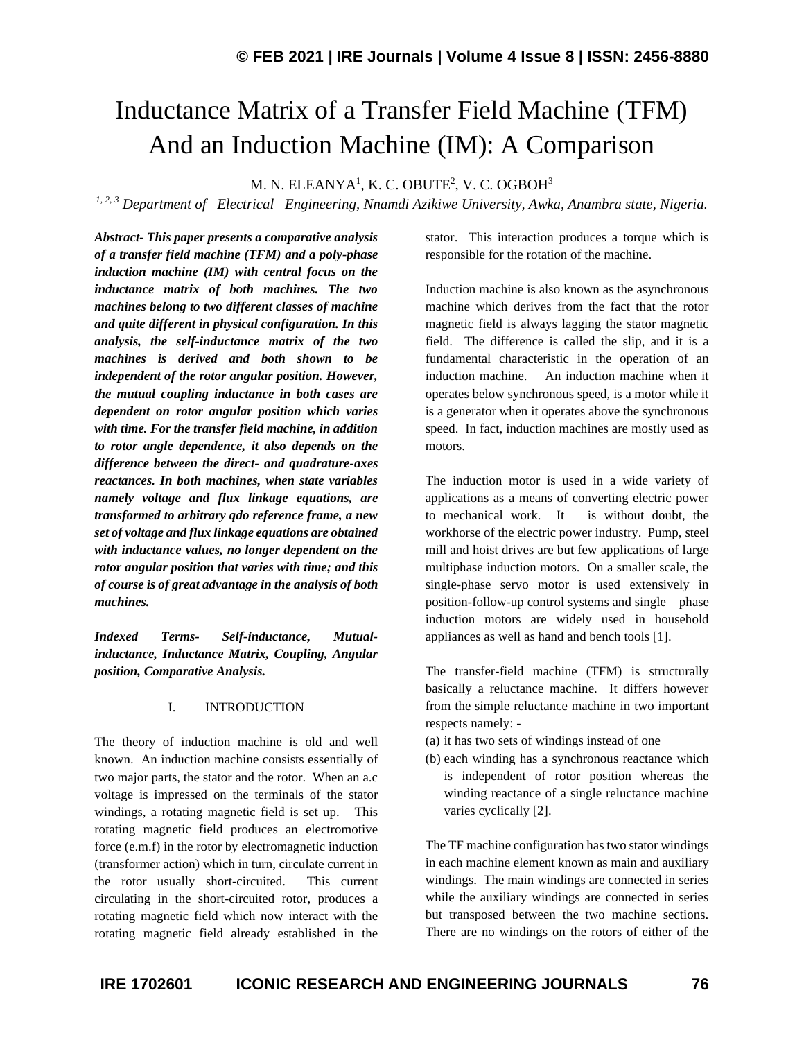# Inductance Matrix of a Transfer Field Machine (TFM) And an Induction Machine (IM): A Comparison

M. N. ELEANYA $^1$ , K. C. OBUTE $^2$ , V. C. OGBOH $^3$ 

*1, 2, 3 Department of Electrical Engineering, Nnamdi Azikiwe University, Awka, Anambra state, Nigeria.*

*Abstract- This paper presents a comparative analysis of a transfer field machine (TFM) and a poly-phase induction machine (IM) with central focus on the inductance matrix of both machines. The two machines belong to two different classes of machine and quite different in physical configuration. In this analysis, the self-inductance matrix of the two machines is derived and both shown to be independent of the rotor angular position. However, the mutual coupling inductance in both cases are dependent on rotor angular position which varies with time. For the transfer field machine, in addition to rotor angle dependence, it also depends on the difference between the direct- and quadrature-axes reactances. In both machines, when state variables namely voltage and flux linkage equations, are transformed to arbitrary qdo reference frame, a new set of voltage and flux linkage equations are obtained with inductance values, no longer dependent on the rotor angular position that varies with time; and this of course is of great advantage in the analysis of both machines.*

*Indexed Terms- Self-inductance, Mutualinductance, Inductance Matrix, Coupling, Angular position, Comparative Analysis.*

#### I. INTRODUCTION

The theory of induction machine is old and well known. An induction machine consists essentially of two major parts, the stator and the rotor. When an a.c voltage is impressed on the terminals of the stator windings, a rotating magnetic field is set up. This rotating magnetic field produces an electromotive force (e.m.f) in the rotor by electromagnetic induction (transformer action) which in turn, circulate current in the rotor usually short-circuited. This current circulating in the short-circuited rotor, produces a rotating magnetic field which now interact with the rotating magnetic field already established in the

stator. This interaction produces a torque which is responsible for the rotation of the machine.

Induction machine is also known as the asynchronous machine which derives from the fact that the rotor magnetic field is always lagging the stator magnetic field. The difference is called the slip, and it is a fundamental characteristic in the operation of an induction machine. An induction machine when it operates below synchronous speed, is a motor while it is a generator when it operates above the synchronous speed. In fact, induction machines are mostly used as motors.

The induction motor is used in a wide variety of applications as a means of converting electric power to mechanical work. It is without doubt, the workhorse of the electric power industry. Pump, steel mill and hoist drives are but few applications of large multiphase induction motors. On a smaller scale, the single-phase servo motor is used extensively in position-follow-up control systems and single – phase induction motors are widely used in household appliances as well as hand and bench tools [1].

The transfer-field machine (TFM) is structurally basically a reluctance machine. It differs however from the simple reluctance machine in two important respects namely: -

- (a) it has two sets of windings instead of one
- (b) each winding has a synchronous reactance which is independent of rotor position whereas the winding reactance of a single reluctance machine varies cyclically [2].

The TF machine configuration has two stator windings in each machine element known as main and auxiliary windings. The main windings are connected in series while the auxiliary windings are connected in series but transposed between the two machine sections. There are no windings on the rotors of either of the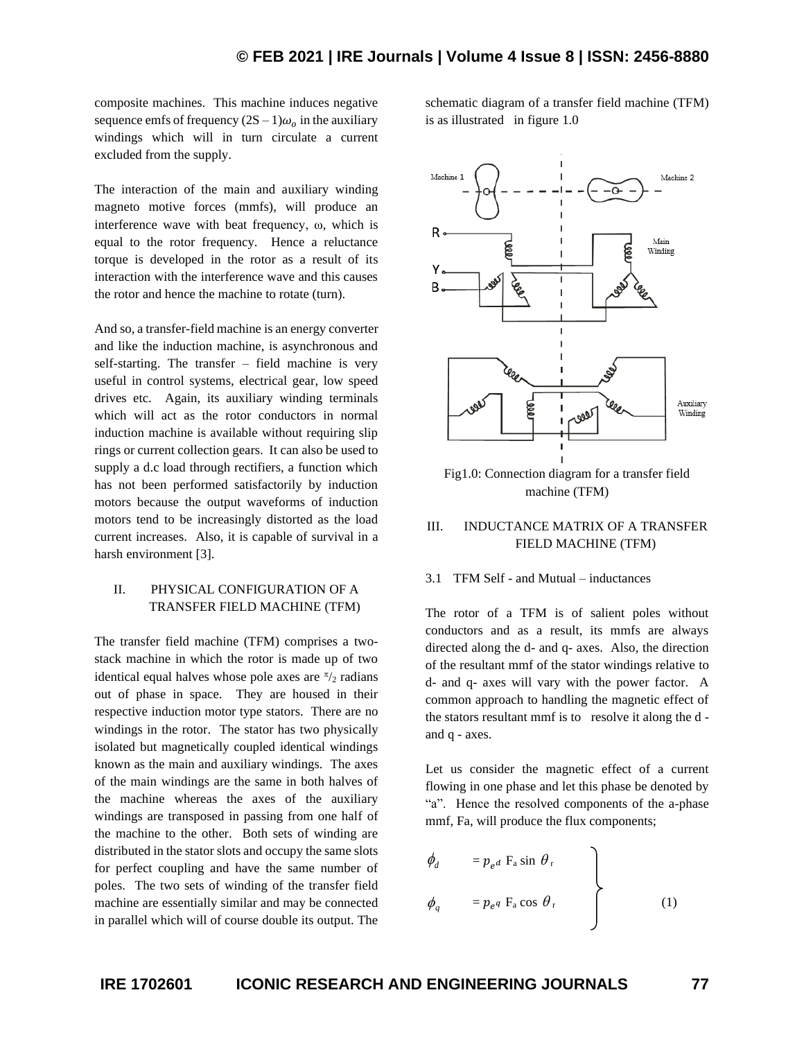composite machines. This machine induces negative sequence emfs of frequency  $(2S - 1)\omega_0$  in the auxiliary windings which will in turn circulate a current excluded from the supply.

The interaction of the main and auxiliary winding magneto motive forces (mmfs), will produce an interference wave with beat frequency, ω, which is equal to the rotor frequency. Hence a reluctance torque is developed in the rotor as a result of its interaction with the interference wave and this causes the rotor and hence the machine to rotate (turn).

And so, a transfer-field machine is an energy converter and like the induction machine, is asynchronous and self-starting. The transfer – field machine is very useful in control systems, electrical gear, low speed drives etc. Again, its auxiliary winding terminals which will act as the rotor conductors in normal induction machine is available without requiring slip rings or current collection gears. It can also be used to supply a d.c load through rectifiers, a function which has not been performed satisfactorily by induction motors because the output waveforms of induction motors tend to be increasingly distorted as the load current increases. Also, it is capable of survival in a harsh environment [3].

#### II. PHYSICAL CONFIGURATION OF A TRANSFER FIELD MACHINE (TFM)

The transfer field machine (TFM) comprises a twostack machine in which the rotor is made up of two identical equal halves whose pole axes are  $\frac{\pi}{2}$  radians out of phase in space. They are housed in their respective induction motor type stators. There are no windings in the rotor. The stator has two physically isolated but magnetically coupled identical windings known as the main and auxiliary windings. The axes of the main windings are the same in both halves of the machine whereas the axes of the auxiliary windings are transposed in passing from one half of the machine to the other. Both sets of winding are distributed in the stator slots and occupy the same slots for perfect coupling and have the same number of poles. The two sets of winding of the transfer field machine are essentially similar and may be connected in parallel which will of course double its output. The

schematic diagram of a transfer field machine (TFM) is as illustrated in figure 1.0



Fig1.0: Connection diagram for a transfer field machine (TFM)

### III. INDUCTANCE MATRIX OF A TRANSFER FIELD MACHINE (TFM)

#### 3.1 TFM Self - and Mutual – inductances

The rotor of a TFM is of salient poles without conductors and as a result, its mmfs are always directed along the d- and q- axes. Also, the direction of the resultant mmf of the stator windings relative to d- and q- axes will vary with the power factor. A common approach to handling the magnetic effect of the stators resultant mmf is to resolve it along the d and q - axes.

Let us consider the magnetic effect of a current flowing in one phase and let this phase be denoted by "a". Hence the resolved components of the a-phase mmf, Fa, will produce the flux components;

$$
\phi_d = p_{e^d} F_a \sin \theta_r
$$
\n
$$
\phi_q = p_{e^q} F_a \cos \theta_r
$$
\n(1)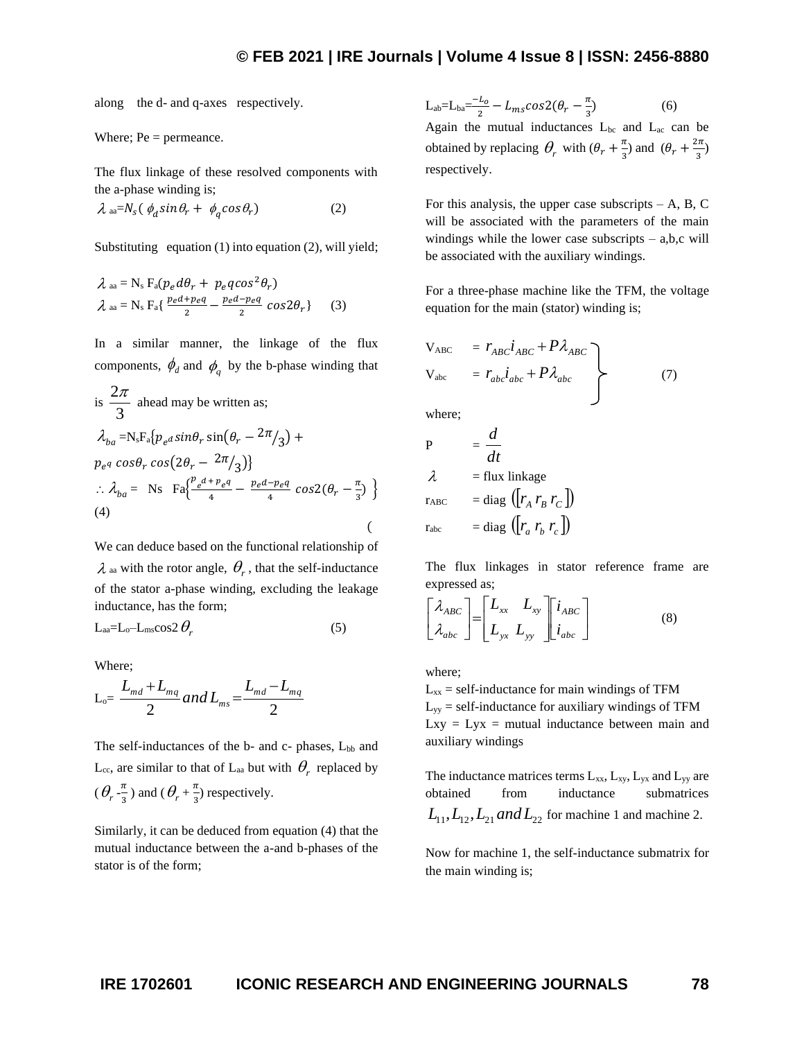along the d- and q-axes respectively.

Where; 
$$
Pe =
$$
  $permeance$ .

The flux linkage of these resolved components with the a-phase winding is;

$$
\lambda \, \text{aa} = N_{\text{s}} \left( \phi_d \sin \theta_r + \phi_q \cos \theta_r \right) \tag{2}
$$

Substituting equation (1) into equation (2), will yield;

$$
\lambda_{aa} = N_s F_a(p_e d\theta_r + p_e q \cos^2 \theta_r)
$$
  

$$
\lambda_{aa} = N_s F_a \left\{ \frac{pe^{d} + peq}{2} - \frac{pe^{d} - peq}{2} \cos 2\theta_r \right\}
$$
 (3)

In a similar manner, the linkage of the flux components,  $\phi_d$  and  $\phi_q$  by the b-phase winding that

is 
$$
\frac{2\pi}{3}
$$
 ahead may be written as;  
\n
$$
\lambda_{ba} = N_s F_a \{p_e a sin \theta_r sin(\theta_r - 2\pi/3) + p_e a cos \theta_r cos(2\theta_r - 2\pi/3)\}
$$
\n
$$
\therefore \lambda_{ba} = N_s F_a \{\frac{p_e a + p_e a}{4} - \frac{p_e a - p_e a}{4} cos 2(\theta_r - \frac{\pi}{3})\}
$$
\n(4)

We can deduce based on the functional relationship of  $\lambda$  aa with the rotor angle,  $\theta_r$ , that the self-inductance of the stator a-phase winding, excluding the leakage inductance, has the form;

$$
L_{aa} = L_0 - L_{ms} \cos 2 \theta_r \tag{5}
$$

Where;

$$
L_{o} = \frac{L_{md} + L_{mq}}{2} and L_{ms} = \frac{L_{md} - L_{mq}}{2}
$$

The self-inductances of the  $b$ - and  $c$ - phases,  $L_{bb}$  and  $L_{cc}$ , are similar to that of  $L_{aa}$  but with  $\theta_r$  replaced by  $(\theta_r^{-\frac{\pi}{3}})$  $\frac{\pi}{3}$ ) and ( $\theta_r$ + $\frac{\pi}{3}$ )  $\frac{\pi}{3}$ ) respectively.

Similarly, it can be deduced from equation (4) that the mutual inductance between the a-and b-phases of the stator is of the form;

 $L_{ab} = L_{ba} = \frac{-L_0}{2}$  $\frac{L_o}{2} - L_{ms} \cos 2(\theta_r - \frac{\pi}{3})$ 3 ) (6) Again the mutual inductances  $L_{bc}$  and  $L_{ac}$  can be obtained by replacing  $\theta_r$  with  $(\theta_r + \frac{\pi}{3})$  $\frac{\pi}{3}$ ) and  $(\theta_r + \frac{2\pi}{3})$  $\frac{1}{3}$ respectively.

For this analysis, the upper case subscripts  $- A$ , B, C will be associated with the parameters of the main windings while the lower case subscripts  $-$  a,b,c will be associated with the auxiliary windings.

For a three-phase machine like the TFM, the voltage equation for the main (stator) winding is;

$$
V_{ABC} = r_{ABC}i_{ABC} + P\lambda_{ABC}
$$
  
\n
$$
V_{abc} = r_{abc}i_{abc} + P\lambda_{abc}
$$
 (7)

where;

$$
P = \frac{d}{dt}
$$
  
\n
$$
\lambda = \text{flux linkage}
$$
  
\n
$$
r_{ABC} = \text{diag} (r_A r_B r_C)
$$
  
\n
$$
r_{abc} = \text{diag} (r_a r_b r_c)
$$

The flux linkages in stator reference frame are expressed as;

$$
\begin{bmatrix} \lambda_{ABC} \\ \lambda_{abc} \end{bmatrix} = \begin{bmatrix} L_{xx} & L_{xy} \\ L_{yx} & L_{yy} \end{bmatrix} \begin{bmatrix} i_{ABC} \\ i_{abc} \end{bmatrix}
$$
 (8)

where;

 $L_{xx}$  = self-inductance for main windings of TFM  $L_{yy}$  = self-inductance for auxiliary windings of TFM  $Lxy = Lyx$  = mutual inductance between main and auxiliary windings

The inductance matrices terms  $L_{xx}$ ,  $L_{xy}$ ,  $L_{yx}$  and  $L_{yy}$  are obtained from inductance submatrices  $L_{11}$ ,  $L_{12}$ ,  $L_{21}$  *and*  $L_{22}$  for machine 1 and machine 2.

Now for machine 1, the self-inductance submatrix for the main winding is;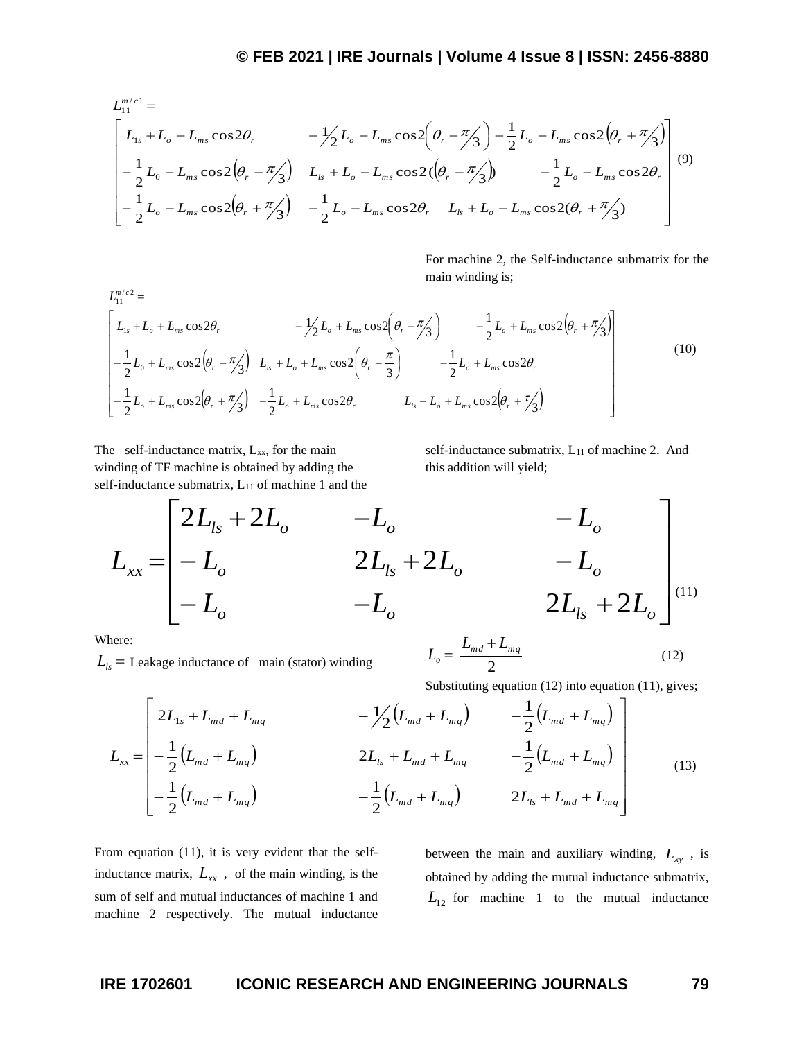$$
L_{11}^{m/c1} =
$$
\n
$$
\begin{bmatrix}\nL_{1s} + L_o - L_{ms} \cos 2\theta_r & -\frac{1}{2} L_o - L_{ms} \cos 2(\theta_r - \pi/3) - \frac{1}{2} L_o - L_{ms} \cos 2(\theta_r + \pi/3) \\
-\frac{1}{2} L_o - L_{ms} \cos 2(\theta_r - \pi/3) & L_{ls} + L_o - L_{ms} \cos 2(\theta_r - \pi/3) & -\frac{1}{2} L_o - L_{ms} \cos 2\theta_r \\
-\frac{1}{2} L_o - L_{ms} \cos 2(\theta_r + \pi/3) & -\frac{1}{2} L_o - L_{ms} \cos 2\theta_r & L_{ls} + L_o - L_{ms} \cos 2(\theta_r + \pi/3)\n\end{bmatrix}
$$
\n(9)

For machine 2, the Self-inductance submatrix for the main winding is;

( ) ( ) ( ) ( ) − + + − + + + + − + − + − + + − − + + <sup>+</sup> <sup>+</sup> <sup>−</sup> <sup>+</sup> <sup>−</sup> = / 2 *m c L* 3 cos2 cos2 2 1 3 cos2 2 1 cos2 2 1 3 cos2 3 cos2 2 1 3 cos2 2 1 3 cos2 2 1 cos2 0 1 1 1 *<sup>o</sup> m s <sup>r</sup> <sup>o</sup> m s <sup>r</sup> ls <sup>o</sup> m s <sup>r</sup> m s <sup>r</sup> ls <sup>o</sup> m s <sup>r</sup> <sup>o</sup> m s <sup>r</sup> <sup>s</sup> <sup>o</sup> m s <sup>r</sup> <sup>o</sup> m s <sup>r</sup> <sup>o</sup> m s <sup>r</sup> L L L L L L L L L L L L L L L L L L L L L* (10)

The self-inductance matrix,  $L_{xx}$ , for the main winding of TF machine is obtained by adding the self-inductance submatrix,  $L_{11}$  of machine 1 and the self-inductance submatrix,  $L_{11}$  of machine 2. And this addition will yield;

$$
L_{xx} = \begin{bmatrix} 2L_{1s} + 2L_o & -L_o & -L_o \\ -L_o & 2L_{1s} + 2L_o & -L_o \\ -L_o & -L_o & 2L_{1s} + 2L_o \end{bmatrix}^{(11)}
$$

 $L_o =$ 

2  $L_{md}$  +  $L_{mq}$ 

Where:

 $L_{ls}$  = Leakage inductance of main (stator) winding

Substituting equation (12) into equation (11), gives;

Substituting equation (12) into equation (11), gives;  
\n
$$
L_{xx} = \begin{bmatrix} 2L_{1s} + L_{md} + L_{mq} & -\frac{1}{2}(L_{md} + L_{mq}) & -\frac{1}{2}(L_{md} + L_{mq}) \\ -\frac{1}{2}(L_{md} + L_{mq}) & 2L_{ls} + L_{md} + L_{mq} & -\frac{1}{2}(L_{md} + L_{mq}) \\ -\frac{1}{2}(L_{md} + L_{mq}) & -\frac{1}{2}(L_{md} + L_{mq}) & 2L_{ls} + L_{md} + L_{mq} \end{bmatrix}
$$
\n(13)

From equation (11), it is very evident that the selfinductance matrix,  $L_{xx}$ , of the main winding, is the sum of self and mutual inductances of machine 1 and machine 2 respectively. The mutual inductance

between the main and auxiliary winding, *Lxy* , is obtained by adding the mutual inductance submatrix,  $L_{12}$  for machine 1 to the mutual inductance

(12)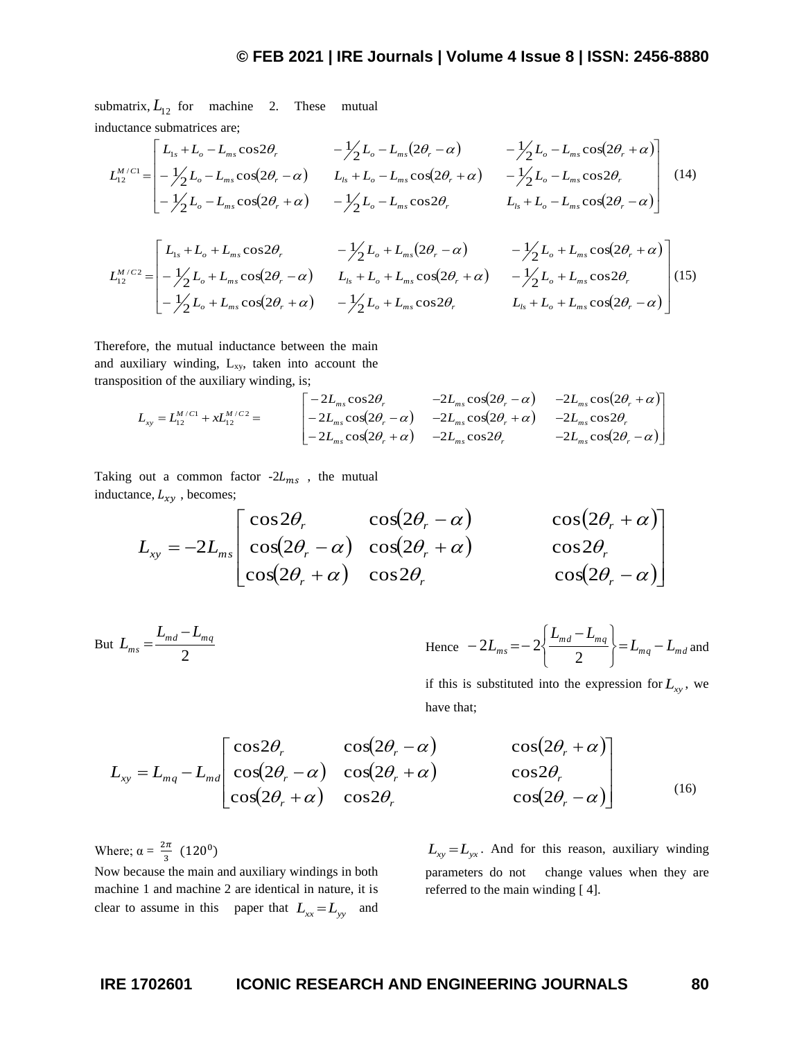submatrix,  $L_{12}$  for machine 2. These mutual inductance submatrices are;

ductance submatrices are;  
\n
$$
L_{12}^{M/C1} = \begin{bmatrix} L_{1s} + L_o - L_{ms} \cos 2\theta_r & -\frac{1}{2} L_o - L_{ms} (2\theta_r - \alpha) & -\frac{1}{2} L_o - L_{ms} \cos (2\theta_r + \alpha) \\ -\frac{1}{2} L_o - L_{ms} \cos (2\theta_r - \alpha) & L_{ls} + L_o - L_{ms} \cos (2\theta_r + \alpha) & -\frac{1}{2} L_o - L_{ms} \cos 2\theta_r \\ -\frac{1}{2} L_o - L_{ms} \cos (2\theta_r + \alpha) & -\frac{1}{2} L_o - L_{ms} \cos 2\theta_r & L_{ls} + L_o - L_{ms} \cos (2\theta_r - \alpha) \end{bmatrix}
$$
\n(14)

$$
L_{12}^{M/C2} = \begin{bmatrix} L_{1s} + L_o + L_{ms} \cos 2\theta_r & -\frac{1}{2} L_o + L_{ms} (2\theta_r - \alpha) & -\frac{1}{2} L_o + L_{ms} \cos (2\theta_r + \alpha) \\ -\frac{1}{2} L_o + L_{ms} \cos (2\theta_r - \alpha) & L_{1s} + L_o + L_{ms} \cos (2\theta_r + \alpha) & -\frac{1}{2} L_o + L_{ms} \cos 2\theta_r \\ -\frac{1}{2} L_o + L_{ms} \cos (2\theta_r + \alpha) & -\frac{1}{2} L_o + L_{ms} \cos 2\theta_r & L_{1s} + L_o + L_{ms} \cos (2\theta_r - \alpha) \end{bmatrix} (15)
$$

Therefore, the mutual inductance between the main and auxiliary winding,  $L_{xy}$ , taken into account the transposition of the auxiliary winding, is;

Similarly, which is given by:

\n
$$
L_{xy} = L_{12}^{M/C1} + xL_{12}^{M/C2} = \begin{bmatrix} -2L_{ms}\cos 2\theta_r & -2L_{ms}\cos(2\theta_r - \alpha) & -2L_{ms}\cos(2\theta_r + \alpha) \\ -2L_{ms}\cos(2\theta_r - \alpha) & -2L_{ms}\cos(2\theta_r + \alpha) & -2L_{ms}\cos 2\theta_r \\ -2L_{ms}\cos(2\theta_r + \alpha) & -2L_{ms}\cos 2\theta_r & -2L_{ms}\cos(2\theta_r - \alpha) \end{bmatrix}
$$

Taking out a common factor  $-2L_{ms}$ , the mutual inductance,  $L_{xy}$ , becomes;

$$
L_{xy} = -2L_{ms} \begin{bmatrix} \cos 2\theta_r & \cos(2\theta_r - \alpha) & \cos(2\theta_r + \alpha) \\ \cos(2\theta_r - \alpha) & \cos(2\theta_r + \alpha) & \cos 2\theta_r \\ \cos(2\theta_r + \alpha) & \cos 2\theta_r & \cos(2\theta_r - \alpha) \end{bmatrix}
$$

But 
$$
L_{ms} = \frac{L_{md} - L_{mq}}{2}
$$
 Hence  $-2L_{ms} = -2\left\{\frac{L_{md} - L_{mq}}{2}\right\} = L_{mq} - L_{md}$  and

if this is substituted into the expression for  $L_{xy}$ , we have that;

$$
L_{xy} = L_{mq} - L_{md} \begin{bmatrix} \cos 2\theta_r & \cos(2\theta_r - \alpha) & \cos(2\theta_r + \alpha) \\ \cos(2\theta_r - \alpha) & \cos(2\theta_r + \alpha) & \cos 2\theta_r \\ \cos(2\theta_r + \alpha) & \cos 2\theta_r & \cos(2\theta_r - \alpha) \end{bmatrix}
$$
(16)

Where;  $\alpha = \frac{2\pi}{g}$  $\frac{2\pi}{3}$  (120<sup>0</sup>)

Now because the main and auxiliary windings in both machine 1 and machine 2 are identical in nature, it is clear to assume in this paper that  $L_{xx} = L_{yy}$  and

 $L_{xy} = L_{yx}$ . And for this reason, auxiliary winding parameters do not change values when they are referred to the main winding [ 4].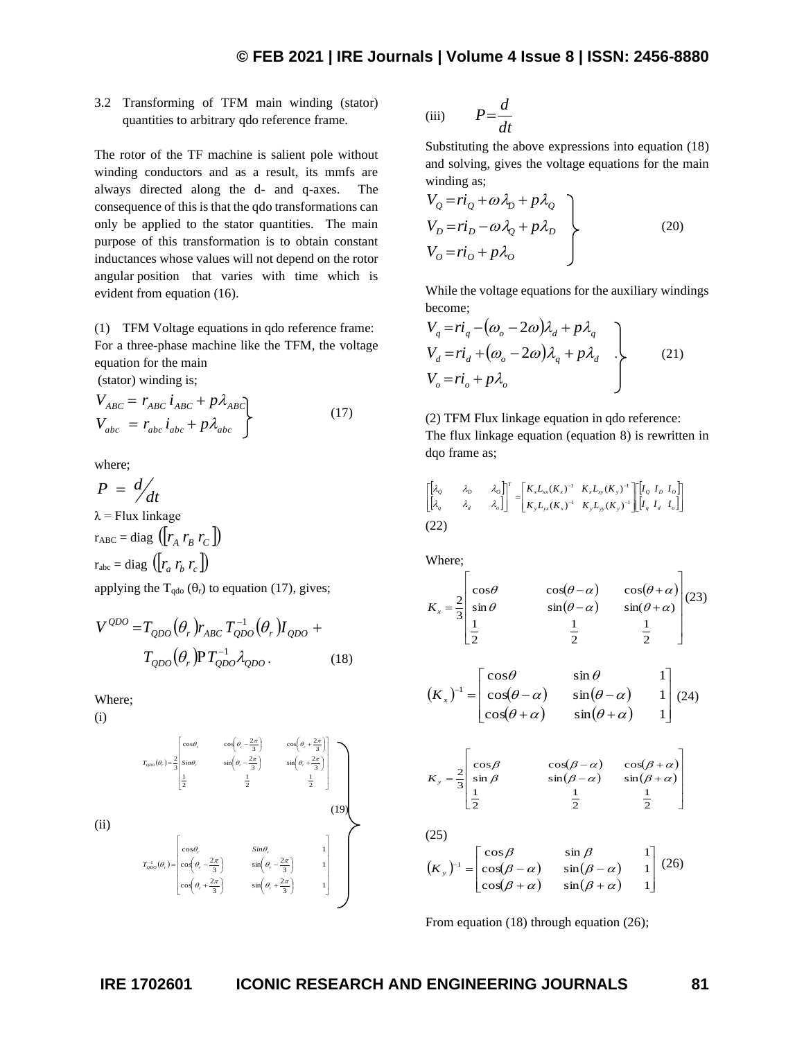## 3.2 Transforming of TFM main winding (stator) quantities to arbitrary qdo reference frame.

The rotor of the TF machine is salient pole without winding conductors and as a result, its mmfs are always directed along the d- and q-axes. The consequence of this is that the qdo transformations can only be applied to the stator quantities. The main purpose of this transformation is to obtain constant inductances whose values will not depend on the rotor angular position that varies with time which is evident from equation (16).

(1) TFM Voltage equations in qdo reference frame: For a three-phase machine like the TFM, the voltage equation for the main

(stator) winding is;

$$
V_{ABC} = r_{ABC} i_{ABC} + p \lambda_{ABC}
$$
  
\n
$$
V_{abc} = r_{abc} i_{abc} + p \lambda_{abc}
$$
 (17)

where;

 $P = \frac{d}{dt}$  $\lambda$  = Flux linkage  $r_{ABC} = \text{diag} \left( \left[ r_A \ r_B \ r_C \right] \right)$  $r_{abc} = \text{diag} \left( \left[ r_a \ r_b \ r_c \right] \right)$ 

applying the  $T_{qdo}(\theta_r)$  to equation (17), gives;

$$
V^{QDO} = T_{QDO}(\theta_r) r_{ABC} T_{QDO}^{-1}(\theta_r) I_{QDO} + T_{QDO}(\theta_r) P T_{QDO}^{-1} \lambda_{QDO}.
$$
 (18)

Where;

(i)

(ii)

$$
T_{\phi\phi\phi}(\theta_r) = \frac{2}{3} \begin{bmatrix} \cos\theta_r & \cos\left(\theta_r - \frac{2\pi}{3}\right) & \cos\left(\theta_r + \frac{2\pi}{3}\right) \\ \sin\theta_r & \sin\left(\theta_r - \frac{2\pi}{3}\right) & \sin\left(\theta_r + \frac{2\pi}{3}\right) \\ \frac{1}{2} & \frac{1}{2} & \frac{1}{2} \end{bmatrix}
$$
\n(19)  
\n
$$
T_{\phi\phi\phi}^{-1}(\theta_r) = \begin{bmatrix} \cos\theta_r & \sin\theta_r & 1 \\ \cos\left(\theta_r - \frac{2\pi}{3}\right) & \sin\left(\theta_r - \frac{2\pi}{3}\right) & 1 \\ \cos\left(\theta_r + \frac{2\pi}{3}\right) & \sin\left(\theta_r + \frac{2\pi}{3}\right) & 1 \end{bmatrix}
$$

(iii) 
$$
P = \frac{d}{dt}
$$

Substituting the above expressions into equation (18) and solving, gives the voltage equations for the main winding as;

$$
V_Q = r i_Q + \omega \lambda_D + p \lambda_Q
$$
  
\n
$$
V_D = r i_D - \omega \lambda_Q + p \lambda_D
$$
  
\n
$$
V_O = r i_O + p \lambda_O
$$
 (20)

While the voltage equations for the auxiliary windings become;

$$
V_q = r i_q - (\omega_o - 2\omega)\lambda_d + p\lambda_q
$$
  
\n
$$
V_d = r i_d + (\omega_o - 2\omega)\lambda_q + p\lambda_d
$$
  
\n
$$
V_o = r i_o + p\lambda_o
$$
\n(21)

(2) TFM Flux linkage equation in qdo reference: The flux linkage equation (equation 8) is rewritten in dqo frame as;

$$
\begin{bmatrix} \begin{bmatrix} \lambda_0 & \lambda_0 & \lambda_0 \end{bmatrix} \end{bmatrix}^T = \begin{bmatrix} K_x L_{xx}(K_x)^{-1} & K_x L_{xy}(K_y)^{-1} \\ K_y L_{yx}(K_x)^{-1} & K_y L_{yy}(K_y)^{-1} \end{bmatrix} \begin{bmatrix} I_0 & I_0 & I_0 \\ I_q & I_d & I_0 \end{bmatrix}
$$
\n(22)

Where;

$$
K_x = \frac{2}{3} \begin{bmatrix} \cos \theta & \cos(\theta - \alpha) & \cos(\theta + \alpha) \\ \sin \theta & \sin(\theta - \alpha) & \sin(\theta + \alpha) \\ \frac{1}{2} & \frac{1}{2} & \frac{1}{2} \end{bmatrix} (23)
$$

$$
(K_x)^{-1} = \begin{bmatrix} \cos\theta & \sin\theta & 1\\ \cos(\theta - \alpha) & \sin(\theta - \alpha) & 1\\ \cos(\theta + \alpha) & \sin(\theta + \alpha) & 1 \end{bmatrix} (24)
$$

$$
K_{y} = \frac{2}{3} \begin{bmatrix} \cos \beta & \cos(\beta - \alpha) & \cos(\beta + \alpha) \\ \sin \beta & \sin(\beta - \alpha) & \sin(\beta + \alpha) \\ \frac{1}{2} & \frac{1}{2} & \frac{1}{2} \end{bmatrix}
$$

(25)  $(K_y)^{-1} = \vert \cos(\beta - \alpha) \quad \sin(\beta - \alpha) \vert$  $(\beta + \alpha)$   $\sin(\beta + \alpha)$  1 ļ. l '  $\mathsf{I}$  . Ŀ Γ  $+\alpha$ )  $\sin(\beta +$  $e^{-1} = \cos(\beta - \alpha)$   $\sin(\beta - \alpha)$  $cos(\beta + \alpha)$   $sin(\beta + \alpha)$  1  $cos(\beta - \alpha)$   $sin(\beta - \alpha)$  1  $\left[\begin{array}{cc} \cos \beta & \sin \beta & 1 \\ \cos(\beta & \sin(\beta) & 1 \end{array}\right]$  $\beta + \alpha$ )  $\sin(\beta + \alpha)$  $\beta - \alpha$ )  $\sin(\beta - \alpha)$  $\beta$   $\sin \beta$  $(K_y)^{-1} = \begin{vmatrix} 0 & \cos(\beta - \alpha) & \sin(\beta - \alpha) & 1 \end{vmatrix}$  (26)

From equation (18) through equation (26);

 $\mathbf{I}$  $\mathbf{I}$ 」

٦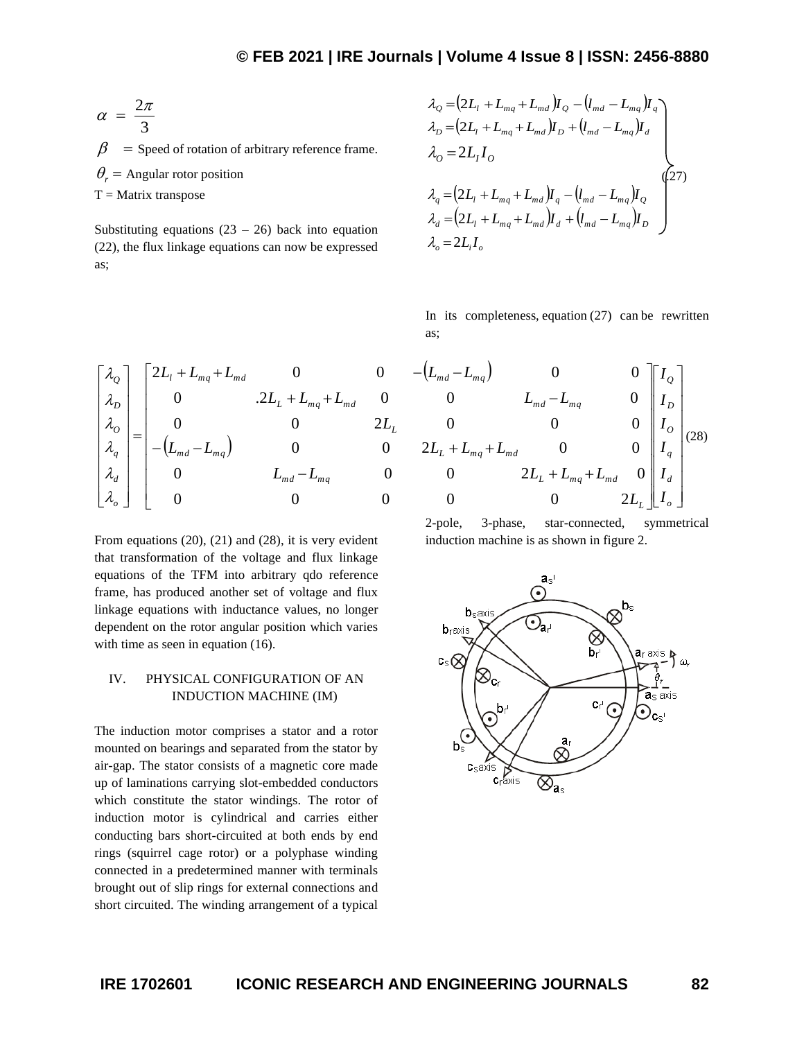$$
\alpha = \frac{2\pi}{3}
$$

 $\beta$  = Speed of rotation of arbitrary reference frame.  $\theta_r$  = Angular rotor position  $T =$ Matrix transpose

Substituting equations  $(23 – 26)$  back into equation (22), the flux linkage equations can now be expressed as;

$$
\lambda_{Q} = (2L_{1} + L_{mq} + L_{md})I_{Q} - (l_{md} - L_{mq})I_{q}
$$
\n
$$
\lambda_{D} = (2L_{1} + L_{mq} + L_{md})I_{D} + (l_{md} - L_{mq})I_{d}
$$
\n
$$
\lambda_{Q} = 2L_{1}I_{Q}
$$
\n
$$
\lambda_{q} = (2L_{1} + L_{mq} + L_{md})I_{q} - (l_{md} - L_{mq})I_{Q}
$$
\n
$$
\lambda_{d} = (2L_{1} + L_{mq} + L_{md})I_{d} + (l_{md} - L_{mq})I_{D}
$$
\n
$$
\lambda_{o} = 2L_{1}I_{o}
$$
\n
$$
(27)
$$

In its completeness, equation  $(27)$  can be rewritten as;

$$
\begin{bmatrix}\n\lambda_{0} \\
\lambda_{D} \\
\lambda_{O} \\
\lambda_{Q} \\
\lambda_{Q} \\
\lambda_{Q} \\
\lambda_{Q} \\
\lambda_{Q}\n\end{bmatrix} =\n\begin{bmatrix}\n2L_{l} + L_{mq} + L_{md} & 0 & 0 & -(L_{md} - L_{mq}) & 0 & 0 \\
0 & .2L_{L} + L_{mq} + L_{md} & 0 & 0 & L_{md} - L_{mq} & 0 \\
0 & 0 & 2L_{L} & 0 & 0 & 0 \\
-(L_{md} - L_{mq}) & 0 & 0 & 2L_{L} + L_{mq} + L_{md} & 0 & 0 \\
0 & L_{md} - L_{mq} & 0 & 0 & 2L_{L} + L_{mq} + L_{md} & 0 \\
0 & 0 & 0 & 0 & 2L_{L} + L_{mq} + L_{md} & 0 \\
0 & 0 & 0 & 0 & 0 & 2L_{L}\n\end{bmatrix}
$$

From equations (20), (21) and (28), it is very evident that transformation of the voltage and flux linkage equations of the TFM into arbitrary qdo reference frame, has produced another set of voltage and flux linkage equations with inductance values, no longer dependent on the rotor angular position which varies with time as seen in equation (16).

#### IV. PHYSICAL CONFIGURATION OF AN INDUCTION MACHINE (IM)

The induction motor comprises a stator and a rotor mounted on bearings and separated from the stator by air-gap. The stator consists of a magnetic core made up of laminations carrying slot-embedded conductors which constitute the stator windings. The rotor of induction motor is cylindrical and carries either conducting bars short-circuited at both ends by end rings (squirrel cage rotor) or a polyphase winding connected in a predetermined manner with terminals brought out of slip rings for external connections and short circuited. The winding arrangement of a typical

( ) − + + + + − *o d q O D Q L m d m q <sup>L</sup> m q m d <sup>L</sup> m q m d m d m q I I I I I I L L L L L L L L L L L* 0 0 0 0 0 2 0 0 0 2 0 0 0 2 0 0 0 0 2 0 0 0 0 .2 0 0 0 (28)

2-pole, 3-phase, star-connected, symmetrical induction machine is as shown in figure 2.

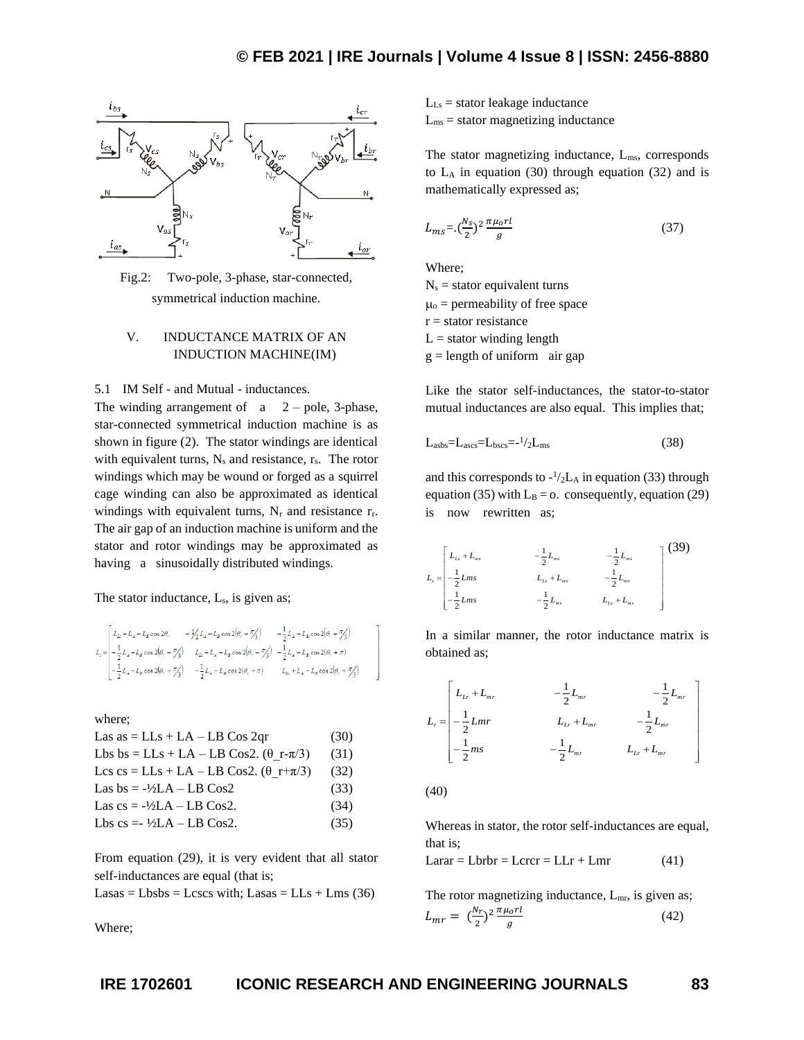

Fig.2: Two-pole, 3-phase, star-connected, symmetrical induction machine.

### V. INDUCTANCE MATRIX OF AN INDUCTION MACHINE(IM)

#### 5.1 IM Self - and Mutual - inductances.

The winding arrangement of  $a = 2$  – pole, 3-phase, star-connected symmetrical induction machine is as shown in figure (2). The stator windings are identical with equivalent turns,  $N_s$  and resistance,  $r_s$ . The rotor windings which may be wound or forged as a squirrel cage winding can also be approximated as identical windings with equivalent turns,  $N_r$  and resistance  $r_r$ . The air gap of an induction machine is uniform and the stator and rotor windings may be approximated as having a sinusoidally distributed windings.

The stator inductance, L<sub>s</sub>, is given as;

$$
\begin{split} L_{z} &= \begin{vmatrix} L_{Lz} + L_{A} - L_{B}\cos 2\theta, & -\frac{1}{2}L_{A} - L_{B}\cos 2\theta, -\frac{\pi}{2}\zeta \end{vmatrix} & -\frac{1}{2}L_{A} - L_{B}\cos 2\big(\theta, +\frac{\pi}{\zeta}\big') \\ -\frac{1}{2}L_{A} - L_{B}\cos 2\big(\theta, -\frac{\pi}{\zeta}\big) & L_{Lz} + L_{A} - L_{B}\cos 2\big(\theta, -\frac{\pi}{\zeta}\big) & -\frac{1}{2}L_{A} - L_{B}\cos 2(\theta, +\pi) \\ -\frac{1}{2}L_{A} - L_{B}\cos 2\big(\theta, +\frac{\pi}{\zeta}\big) & -\frac{1}{2}L_{A} - L_{B}\cos 2(\theta, +\pi) & L_{Lz} + L_{A} - L_{B}\cos 2\big(\theta, +\frac{\pi}{\zeta}\big) \end{vmatrix} \end{split}
$$

where;

Las as = LLs + LA – LB Cos 2qr

\n(30)

\nLbs bs = LLs + LA – LB Cos2.

\n(
$$
\theta_r - \pi/3
$$
)

\n(31)

\nLes cs = LLs + LA – LB Cos2.

\n( $\theta_r + \pi/3$ )

\n(32)

\nLas bs = - $\frac{1}{2}$ LA – LB Cos2

\n(33)

\nLas cs = - $\frac{1}{2}$ LA – LB Cos2.

\n(34)

\nLbs cs = - $\frac{1}{2}$ LA – LB Cos2.

\n(35)

From equation (29), it is very evident that all stator self-inductances are equal (that is;

 $Lasas = Lbsbs = Lcscs with$ ;  $Lasas = LLs + Lms (36)$ 

Where;

 $L_{Ls}$  = stator leakage inductance

 $L_{\text{ms}}$  = stator magnetizing inductance

The stator magnetizing inductance,  $L_{ms}$ , corresponds to  $L_A$  in equation (30) through equation (32) and is mathematically expressed as;

$$
L_{ms} = \left(\frac{N_S}{2}\right)^2 \frac{\pi \mu_0 r l}{g} \tag{37}
$$

Where;

 $N_s$  = stator equivalent turns  $\mu_{o}$  = permeability of free space  $r =$  stator resistance  $L =$  stator winding length  $g =$  length of uniform air gap

Like the stator self-inductances, the stator-to-stator mutual inductances are also equal. This implies that;

$$
Labs=Lascs=Lbscs=1/2Lms
$$
 (38)

and this corresponds to  $-\frac{1}{2}L_A$  in equation (33) through equation (35) with  $L_B = 0$ . consequently, equation (29) is now rewritten as;

$$
L_{s} = \begin{bmatrix} L_{L_{s}} + L_{m_{s}} & -\frac{1}{2} L_{m_{s}} & -\frac{1}{2} L_{m_{s}} \\ -\frac{1}{2} L_{m_{s}} & L_{L_{s}} + L_{m_{s}} & -\frac{1}{2} L_{m_{s}} \\ -\frac{1}{2} L_{m_{s}} & -\frac{1}{2} L_{m_{s}} & L_{L_{s}} + L_{m_{s}} \end{bmatrix}
$$
(39)

In a similar manner, the rotor inductance matrix is obtained as;

$$
L_{r} = \begin{bmatrix} L_{Lr} + L_{mr} & -\frac{1}{2}L_{mr} & -\frac{1}{2}L_{mr} \\ -\frac{1}{2}Lmr & L_{Lr} + L_{mr} & -\frac{1}{2}L_{mr} \\ -\frac{1}{2}ms & -\frac{1}{2}L_{mr} & L_{Lr} + L_{mr} \end{bmatrix}
$$

(40)

Whereas in stator, the rotor self-inductances are equal, that is;

 $Larar = Lbrbr = Lcrcr = LLr + Lmr$  (41)

The rotor magnetizing inductance,  $L_{mr}$ , is given as;  $L_{mr} = \left(\frac{N_r}{2}\right)$  $\frac{N_r}{2}$ <sup>2</sup> $\frac{\pi \mu_o r l}{g}$  $\overline{g}$ (42)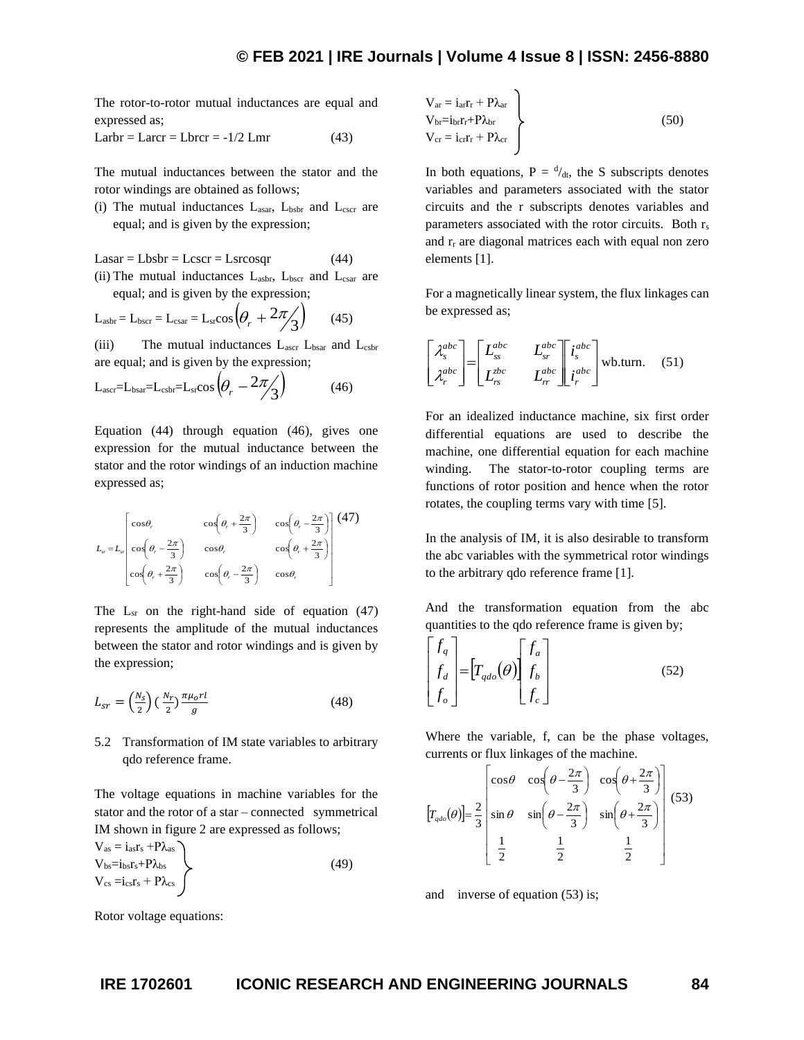The rotor-to-rotor mutual inductances are equal and expressed as;

Larbr = Larcr = Lbrcr =  $-1/2$  Lmr (43)

The mutual inductances between the stator and the rotor windings are obtained as follows;

(i) The mutual inductances  $L_{asar}$ ,  $L_{bsbr}$  and  $L_{cscr}$  are equal; and is given by the expression;

 $Lasar = Lbsbr = Lescr = Lsrcosqr$  (44)

(ii) The mutual inductances  $L_{\text{asbr}}$ ,  $L_{\text{bscr}}$  and  $L_{\text{csar}}$  are equal; and is given by the expression;

$$
L_{\text{asbr}} = L_{\text{bscr}} = L_{\text{csar}} = L_{\text{sr}} \cos \left( \theta_r + 2\pi / 3 \right) \tag{45}
$$

(iii) The mutual inductances  $L_{\text{aser}}$   $L_{\text{bsar}}$  and  $L_{\text{csbr}}$ are equal; and is given by the expression;

$$
L_{\text{ascr}} = L_{\text{bsar}} = L_{\text{csbr}} = L_{\text{sr}} \cos\left(\theta_r - 2\pi/3\right) \tag{46}
$$

Equation (44) through equation (46), gives one expression for the mutual inductance between the stator and the rotor windings of an induction machine expressed as;

$$
L_{sr} = L_{sr} \begin{bmatrix} \cos\theta_r & \cos\left(\theta_r + \frac{2\pi}{3}\right) & \cos\left(\theta_r - \frac{2\pi}{3}\right) \\ \cos\left(\theta_r - \frac{2\pi}{3}\right) & \cos\theta_r & \cos\left(\theta_r + \frac{2\pi}{3}\right) \\ \cos\left(\theta_r + \frac{2\pi}{3}\right) & \cos\left(\theta_r - \frac{2\pi}{3}\right) & \cos\theta_r \end{bmatrix} (47)
$$

The  $L_{sr}$  on the right-hand side of equation (47) represents the amplitude of the mutual inductances between the stator and rotor windings and is given by the expression;

$$
L_{sr} = \left(\frac{N_s}{2}\right) \left(\frac{N_r}{2}\right) \frac{\pi \mu_0 r l}{g} \tag{48}
$$

5.2 Transformation of IM state variables to arbitrary qdo reference frame.

The voltage equations in machine variables for the stator and the rotor of a star – connected symmetrical IM shown in figure 2 are expressed as follows;

$$
V_{as} = i_{as}r_s + P\lambda_{as}
$$
  
\n
$$
V_{bs} = i_{bs}r_s + P\lambda_{bs}
$$
  
\n
$$
V_{cs} = i_{cs}r_s + P\lambda_{cs}
$$
\n(49)

$$
V_{\text{ar}} = i_{\text{ar}}r_{\text{r}} + P\lambda_{\text{ar}}
$$
  
\n
$$
V_{\text{br}} = i_{\text{br}}r_{\text{r}} + P\lambda_{\text{br}}
$$
  
\n
$$
V_{\text{cr}} = i_{\text{cr}}r_{\text{r}} + P\lambda_{\text{cr}}
$$
\n(50)

In both equations,  $P = \frac{d}{dt}$ , the S subscripts denotes variables and parameters associated with the stator circuits and the r subscripts denotes variables and parameters associated with the rotor circuits. Both rs and  $r_r$  are diagonal matrices each with equal non zero elements [1].

For a magnetically linear system, the flux linkages can be expressed as;

$$
\begin{bmatrix} \lambda_s^{abc} \\ \lambda_r^{abc} \end{bmatrix} = \begin{bmatrix} L_{ss}^{abc} & L_{sr}^{abc} \\ L_{rs}^{abc} & L_{rr}^{abc} \end{bmatrix} \begin{bmatrix} i_s^{abc} \\ i_r^{abc} \end{bmatrix}
$$
wb.turn. (51)

For an idealized inductance machine, six first order differential equations are used to describe the machine, one differential equation for each machine winding. The stator-to-rotor coupling terms are functions of rotor position and hence when the rotor rotates, the coupling terms vary with time [5].

In the analysis of IM, it is also desirable to transform the abc variables with the symmetrical rotor windings to the arbitrary qdo reference frame [1].

And the transformation equation from the abc quantities to the qdo reference frame is given by;

$$
\begin{bmatrix} f_q \\ f_d \\ f_o \end{bmatrix} = \begin{bmatrix} T_{qdo}(\theta) \end{bmatrix} \begin{bmatrix} f_a \\ f_b \\ f_c \end{bmatrix}
$$
 (52)

Where the variable, f, can be the phase voltages, currents or flux linkages of the machine.

$$
\left[T_{qdo}(\theta)\right] = \frac{2}{3} \begin{bmatrix} \cos\theta & \cos\left(\theta - \frac{2\pi}{3}\right) & \cos\left(\theta + \frac{2\pi}{3}\right) \\ \sin\theta & \sin\left(\theta - \frac{2\pi}{3}\right) & \sin\left(\theta + \frac{2\pi}{3}\right) \\ \frac{1}{2} & \frac{1}{2} & \frac{1}{2} \end{bmatrix} \tag{53}
$$

and inverse of equation (53) is;

Rotor voltage equations: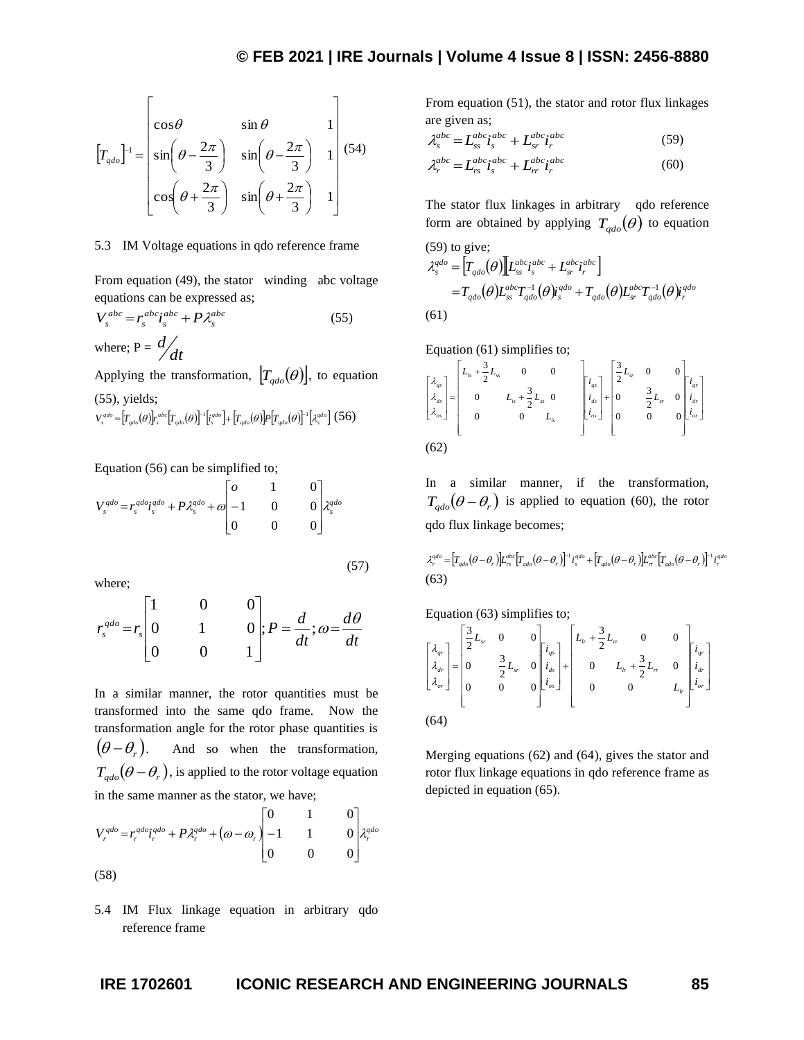$$
\left[T_{qdo}\right]^{-1} = \begin{bmatrix} \cos\theta & \sin\theta & 1\\ \sin\left(\theta - \frac{2\pi}{3}\right) & \sin\left(\theta - \frac{2\pi}{3}\right) & 1\\ \cos\left(\theta + \frac{2\pi}{3}\right) & \sin\left(\theta + \frac{2\pi}{3}\right) & 1 \end{bmatrix}
$$
(54)

#### 5.3 IM Voltage equations in qdo reference frame

From equation (49), the stator winding abc voltage equations can be expressed as;

$$
V_s^{abc} = r_s^{abc} i_s^{abc} + P \lambda_s^{abc}
$$
 (55)  
where; P =  $\frac{d}{dt}$ 

Applying the transformation,  $[T_{qdo}(\theta)]$ , to equation (55), yields;

$$
V_s^{qdo} = \left[T_{qdo}(\theta)\right]_{s}^{abc} \left[T_{qdo}(\theta)\right]^{-1} \left[i_s^{qdo}\right] + \left[T_{qdo}(\theta)\right] P \left[T_{qdo}(\theta)\right]^{-1} \left[\lambda_s^{qdo}\right] (56)
$$

Equation (56) can be simplified to;

$$
V_s^{qdo} = r_s^{qdo} i_s^{qdo} + P \lambda_s^{qdo} + \omega \begin{bmatrix} 0 & 1 & 0 \\ -1 & 0 & 0 \\ 0 & 0 & 0 \end{bmatrix} \lambda_s^{qdo}
$$

where;

$$
r_s^{qdo} = r_s \begin{bmatrix} 1 & 0 & 0 \\ 0 & 1 & 0 \\ 0 & 0 & 1 \end{bmatrix}; P = \frac{d}{dt}; \omega = \frac{d\theta}{dt}
$$

**IR**<sub>gra</sub><sup>11</sup> =  $\sin(\theta - \frac{\pi x}{3})$  **iii**  $\theta - \frac{\pi x}{3}$  **iii**  $\theta - \frac{\pi x}{3}$  **iii**  $\theta - \frac{2\pi x}{3}$  **iii**  $\theta - \frac{2\pi x}{3}$  **iii**  $\theta - \frac{2\pi x}{3}$  **iii**  $\theta - \frac{2\pi x}{3}$  **iii**  $\theta - \frac{2\pi x}{3}$  **iii**  $\theta - \frac{2\pi x}{3}$  **iii**  $\theta - \frac{2\pi x$ In a similar manner, the rotor quantities must be transformed into the same qdo frame. Now the transformation angle for the rotor phase quantities is  $(\theta - \theta_{r})$ . . And so when the transformation,  $T_{qdo}(\theta - \theta_r)$ , is applied to the rotor voltage equation in the same manner as the stator, we have;

$$
V_r^{qdo} = r_r^{qdo} i_r^{qdo} + P \lambda_r^{qdo} + (\omega - \omega_r) \begin{bmatrix} 0 & 1 & 0 \\ -1 & 1 & 0 \\ 0 & 0 & 0 \end{bmatrix} \lambda_r^{qdo}
$$
  
(58)

5.4 IM Flux linkage equation in arbitrary qdo reference frame

From equation (51), the stator and rotor flux linkages are given as;

$$
\lambda_s^{abc} = L_{ss}^{abc} i_s^{abc} + L_{sr}^{abc} i_r^{abc} \tag{59}
$$

$$
\lambda_r^{abc} = L_{rs}^{abc} \dot{\mathbf{i}}_s^{abc} + L_{rr}^{abc} \dot{\mathbf{i}}_r^{abc} \tag{60}
$$

The stator flux linkages in arbitrary qdo reference form are obtained by applying  $T_{qdo}(\theta)$  to equation

(59) to give;  
\n
$$
\lambda_s^{qdo} = \left[ T_{qdo}(\theta) \right] L_{ss}^{abc} i_s^{abc} + L_{sr}^{abc} i_r^{abc} \Big]
$$
\n
$$
= T_{qdo}(\theta) L_{ss}^{abc} T_{qdo}^{-1}(\theta) i_s^{qdo} + T_{qdo}(\theta) L_{sr}^{abc} T_{qdo}^{-1}(\theta) i_r^{qdo}
$$
\n(61)

Equation (61) simplifies to;

$$
\begin{bmatrix} \lambda_{qs} \\ \lambda_{ds} \\ \lambda_{cs} \end{bmatrix} = \begin{bmatrix} L_{ls} + \frac{3}{2}L_{ss} & 0 & 0 \\ 0 & L_{is} + \frac{3}{2}L_{ss} & 0 \\ 0 & 0 & L_{ts} \end{bmatrix} \begin{bmatrix} i_{qs} \\ i_{ds} \\ i_{ds} \end{bmatrix} + \begin{bmatrix} \frac{3}{2}L_{sr} & 0 & 0 \\ 0 & \frac{3}{2}L_{sr} & 0 \\ 0 & 0 & 0 \end{bmatrix} \begin{bmatrix} i_{qr} \\ i_{dr} \\ i_{dr} \end{bmatrix}
$$
  
(62)

In a similar manner, if the transformation,  $T_{qdo}(\theta - \theta_r)$  is applied to equation (60), the rotor qdo flux linkage becomes;

$$
\begin{split} \lambda_r^{qdo} =& \left[T_{qdo}(\theta-\theta_r)\right]L_{rs}^{abc}\left[T_{qdo}(\theta-\theta_r)\right]^{-1}i_s^{qdo} + \left[T_{qdo}(\theta-\theta_r)\right]L_{rr}^{abc}\left[T_{qdo}(\theta-\theta_r)\right]^{-1}i_r^{qdo} \\ (63) \end{split}
$$

Equation (63) simplifies to;

$$
\begin{bmatrix} \lambda_{qr} \\ \lambda_{dr} \\ \lambda_{dr} \end{bmatrix} = \begin{bmatrix} \frac{3}{2}L_{sr} & 0 & 0 \\ 0 & \frac{3}{2}L_{sr} & 0 \\ 0 & 0 & 0 \end{bmatrix} \begin{bmatrix} i_{qs} \\ i_{ds} \\ i_{ds} \end{bmatrix} + \begin{bmatrix} L_{lr} + \frac{3}{2}L_{rr} & 0 & 0 \\ 0 & L_{lr} + \frac{3}{2}L_{rr} & 0 \\ 0 & 0 & L_{lr} \end{bmatrix} \begin{bmatrix} i_{qr} \\ i_{dr} \\ i_{cr} \end{bmatrix}
$$
  
(64)

Merging equations (62) and (64), gives the stator and rotor flux linkage equations in qdo reference frame as depicted in equation (65).

(57)